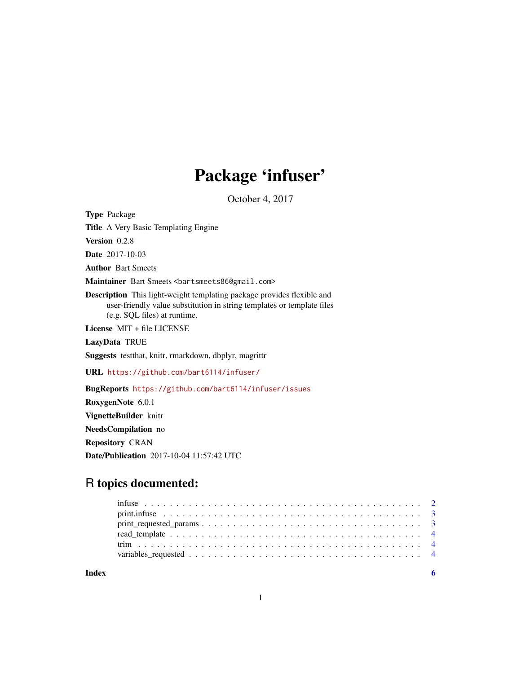## Package 'infuser'

October 4, 2017

<span id="page-0-0"></span>Type Package Title A Very Basic Templating Engine Version 0.2.8 Date 2017-10-03 Author Bart Smeets Maintainer Bart Smeets <br/>bartsmeets86@gmail.com> Description This light-weight templating package provides flexible and user-friendly value substitution in string templates or template files (e.g. SQL files) at runtime. License MIT + file LICENSE LazyData TRUE Suggests testthat, knitr, rmarkdown, dbplyr, magrittr URL <https://github.com/bart6114/infuser/> BugReports <https://github.com/bart6114/infuser/issues> RoxygenNote 6.0.1 VignetteBuilder knitr NeedsCompilation no

Repository CRAN

Date/Publication 2017-10-04 11:57:42 UTC

### R topics documented:

| $print.\n  in true \n   \n   \n   \n   \n   \n   \n  3$ |  |  |  |  |  |  |  |  |  |  |  |  |  |  |  |  |  |
|---------------------------------------------------------|--|--|--|--|--|--|--|--|--|--|--|--|--|--|--|--|--|
|                                                         |  |  |  |  |  |  |  |  |  |  |  |  |  |  |  |  |  |
|                                                         |  |  |  |  |  |  |  |  |  |  |  |  |  |  |  |  |  |
|                                                         |  |  |  |  |  |  |  |  |  |  |  |  |  |  |  |  |  |
|                                                         |  |  |  |  |  |  |  |  |  |  |  |  |  |  |  |  |  |
|                                                         |  |  |  |  |  |  |  |  |  |  |  |  |  |  |  |  |  |

**Index** [6](#page-5-0) **6**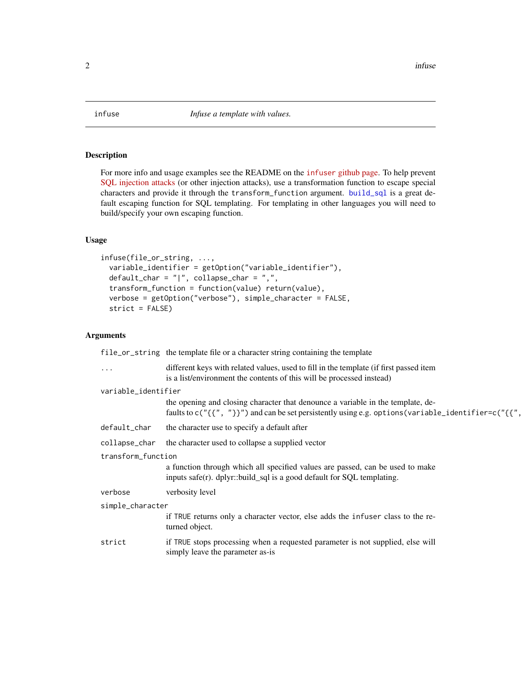<span id="page-1-0"></span>

#### Description

For more info and usage examples see the README on the infuser [github page.](https://github.com/Bart6114/infuser) To help prevent [SQL injection attacks](https://xkcd.com/327/) (or other injection attacks), use a transformation function to escape special characters and provide it through the transform\_function argument. [build\\_sql](#page-0-0) is a great default escaping function for SQL templating. For templating in other languages you will need to build/specify your own escaping function.

#### Usage

```
infuse(file_or_string, ...,
 variable_identifier = getOption("variable_identifier"),
 default_char = "|", collapse_char = ",",
  transform_function = function(value) return(value),
 verbose = getOption("verbose"), simple_character = FALSE,
  strict = FALSE)
```
#### Arguments

|                     | file_or_string the template file or a character string containing the template                                                                                                         |
|---------------------|----------------------------------------------------------------------------------------------------------------------------------------------------------------------------------------|
| $\cdots$            | different keys with related values, used to fill in the template (if first passed item<br>is a list/environment the contents of this will be processed instead)                        |
| variable_identifier |                                                                                                                                                                                        |
|                     | the opening and closing character that denounce a variable in the template, de-<br>faults to c("{{", "}}") and can be set persistently using e.g. options (variable_identifier=c("{{", |
| default_char        | the character use to specify a default after                                                                                                                                           |
| collapse_char       | the character used to collapse a supplied vector                                                                                                                                       |
| transform_function  |                                                                                                                                                                                        |
|                     | a function through which all specified values are passed, can be used to make<br>inputs safe(r). dplyr::build_sql is a good default for SQL templating.                                |
| verbose             | verbosity level                                                                                                                                                                        |
| simple_character    |                                                                                                                                                                                        |
|                     | if TRUE returns only a character vector, else adds the infuser class to the re-<br>turned object.                                                                                      |
| strict              | if TRUE stops processing when a requested parameter is not supplied, else will<br>simply leave the parameter as-is                                                                     |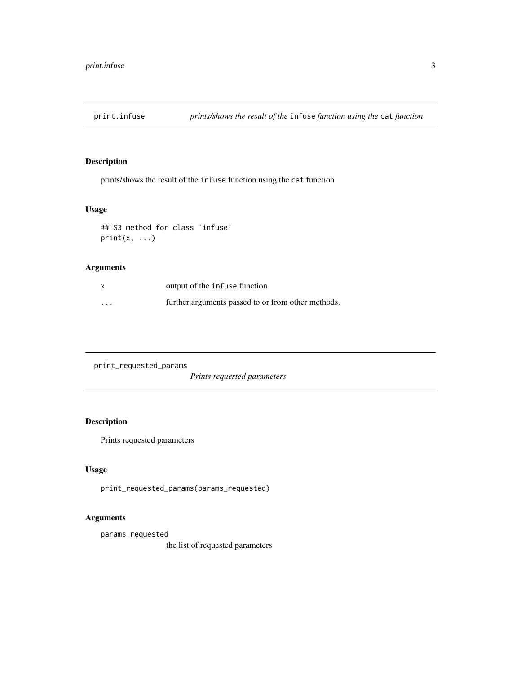<span id="page-2-0"></span>

#### Description

prints/shows the result of the infuse function using the cat function

#### Usage

```
## S3 method for class 'infuse'
print(x, \ldots)
```
#### Arguments

| X        | output of the infuse function                      |
|----------|----------------------------------------------------|
| $\cdots$ | further arguments passed to or from other methods. |

print\_requested\_params

*Prints requested parameters*

#### Description

Prints requested parameters

#### Usage

print\_requested\_params(params\_requested)

#### Arguments

params\_requested

the list of requested parameters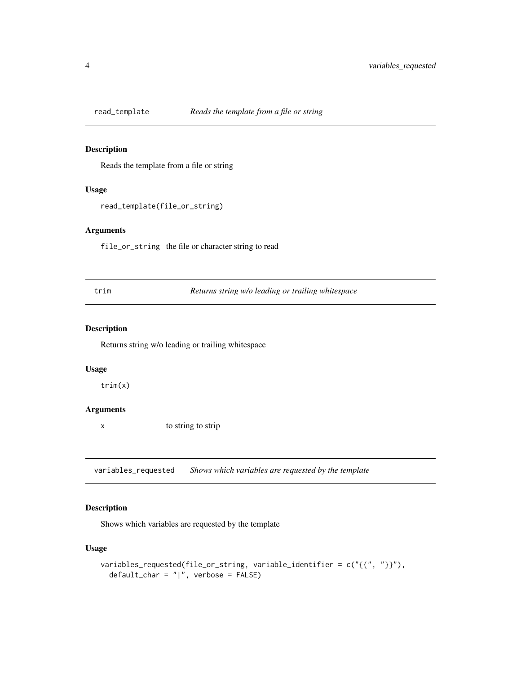<span id="page-3-0"></span>

#### Description

Reads the template from a file or string

#### Usage

```
read_template(file_or_string)
```
#### Arguments

file\_or\_string the file or character string to read

trim *Returns string w/o leading or trailing whitespace*

#### Description

Returns string w/o leading or trailing whitespace

#### Usage

trim(x)

#### Arguments

x to string to strip

variables\_requested *Shows which variables are requested by the template*

#### Description

Shows which variables are requested by the template

#### Usage

```
variables_requested(file_or_string, variable_identifier = c("{{", "}}"),
 default_char = "|", verbose = FALSE)
```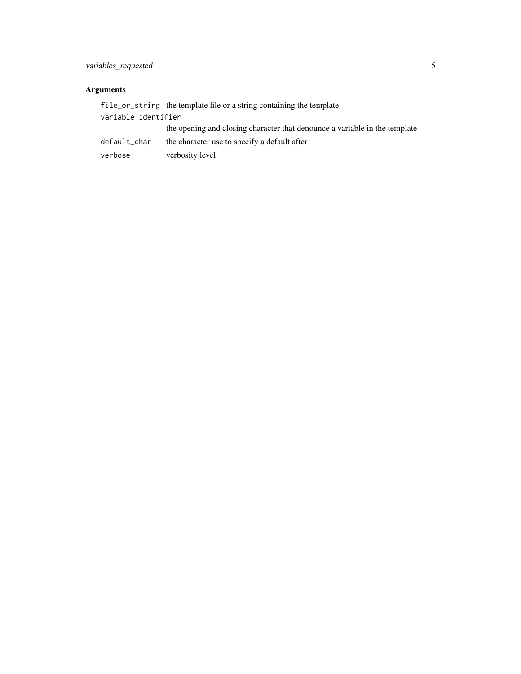#### Arguments

|                     | file or string the template file or a string containing the template       |
|---------------------|----------------------------------------------------------------------------|
| variable_identifier |                                                                            |
|                     | the opening and closing character that denounce a variable in the template |
| default_char        | the character use to specify a default after                               |
| verbose             | verbosity level                                                            |